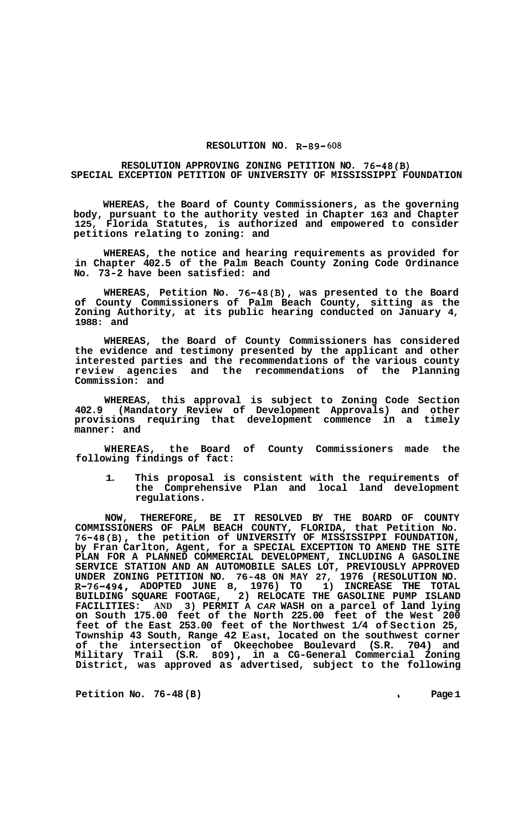## **RESOLUTION NO. R-89- 608**

## **RESOLUTION APPROVING ZONING PETITION NO. 76-48(B) SPECIAL EXCEPTION PETITION OF UNIVERSITY OF MISSISSIPPI FOUNDATION**

**WHEREAS, the Board of County Commissioners, as the governing body, pursuant to the authority vested in Chapter 163 and Chapter 125, Florida Statutes, is authorized and empowered to consider petitions relating to zoning: and** 

**WHEREAS, the notice and hearing requirements as provided for in Chapter 402.5 of the Palm Beach County Zoning Code Ordinance No. 73-2 have been satisfied: and** 

**WHEREAS, Petition No. 76-48(B), was presented to the Board of County Commissioners of Palm Beach County, sitting as the Zoning Authority, at its public hearing conducted on January 4, 1988: and** 

**WHEREAS, the Board of County Commissioners has considered the evidence and testimony presented by the applicant and other interested parties and the recommendations of the various county review agencies and the recommendations of the Planning Commission: and** 

**WHEREAS, this approval is subject to Zoning Code Section 402.9 (Mandatory Review of Development Approvals) and other provisions requiring that development commence in a timely manner: and** 

**WHEREAS, the Board of County Commissioners made the following findings of fact:** 

**1. This proposal is consistent with the requirements of the Comprehensive Plan and local land development regulations.** 

**NOW, THEREFORE, BE IT RESOLVED BY THE BOARD OF COUNTY COMMISSIONERS OF PALM BEACH COUNTY, FLORIDA, that Petition No. 76-48(B), the petition of UNIVERSITY OF MISSISSIPPI FOUNDATION, by Fran Carlton, Agent, for a SPECIAL EXCEPTION TO AMEND THE SITE PLAN FOR A PLANNED COMMERCIAL DEVELOPMENT, INCLUDING A GASOLINE SERVICE STATION AND AN AUTOMOBILE SALES LOT, PREVIOUSLY APPROVED**  UNDER ZONING PETITION NO. 76-48 ON MAY 27, 1976 (RESOLUTION NO. R-76-494, ADOPTED JUNE 8, 1976) TO 1) INCREASE THE TOTAL **R-76-494, ADOPTED JUNE 8, 1976) TO 1) INCREASE THE TOTAL BUILDING SQUARE FOOTAGE, 2) RELOCATE THE GASOLINE PUMP ISLAND FACILITIES: AND 3) PERMIT A** *CAR* **WASH on a parcel of land lying on South 175.00 feet of the North 225.00 feet of the West 200 feet of the East 253.00 feet of the Northwest 1/4 of-Section 25, Township 43 South, Range 42 East, located on the southwest corner of the intersection of Okeechobee Boulevard (S.R. 704) and Military Trail (S.R. 809), in a CG-General Commercial Zoning District, was approved as advertised, subject to the following** 

**Petition No. 76-48 (B) a Page 1**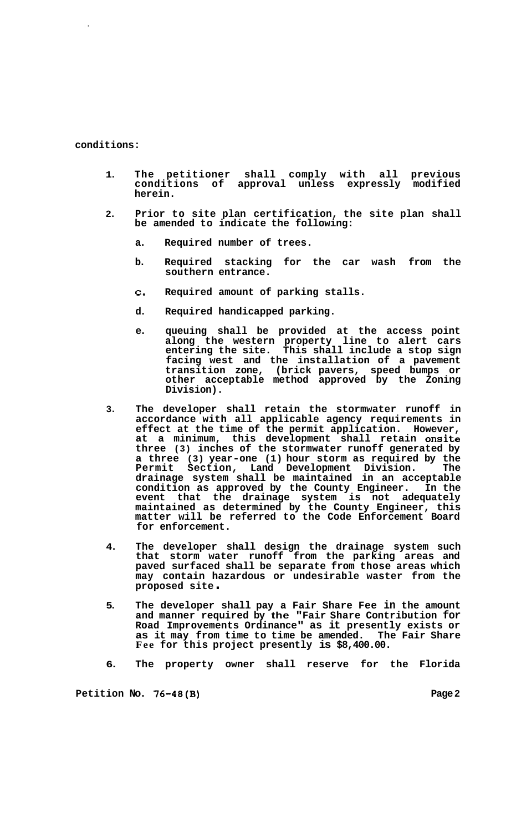## **conditions:**

- **1. The petitioner shall comply with all previous conditions of approval unless expressly modified herein.**
- **2. Prior to site plan certification, the site plan shall be amended to indicate the following:** 
	- **a. Required number of trees.**
	- **b. Required stacking for the car wash from the southern entrance.**
	- **c. Required amount of parking stalls.**
	- **d. Required handicapped parking.**
	- **e. queuing shall be provided at the access point along the western property line to alert cars entering the site. This shall include a stop sign facing west and the installation of a pavement transition zone, (brick pavers, speed bumps or other acceptable method approved by the Zoning Division).**
- **3. The developer shall retain the stormwater runoff in accordance with all applicable agency requirements in effect at the time of the permit application. However, at a minimum, this development shall retain onsite three (3) inches of the stormwater runoff generated by a three (3) year-one (1) hour storm as required by the Permit Section, Land Development Division. The drainage system shall be maintained in an acceptable condition as approved by the County Engineer. In the event that the drainage system is not adequately maintained as determined by the County Engineer, this matter will be referred to the Code Enforcement Board for enforcement.**
- **4. The developer shall design the drainage system such that storm water runoff from the parking areas and paved surfaced shall be separate from those areas which may contain hazardous or undesirable waster from the proposed site** .
- **5. The developer shall pay a Fair Share Fee in the amount and manner required by the "Fair Share Contribution for Road Improvements Ordinance" as it presently exists or as it may from time to time be amended. The Fair Share Fee for this project presently is \$8,400.00.**
- **6. The property owner shall reserve for the Florida**

**Petition No. 76-48(B)** Page 2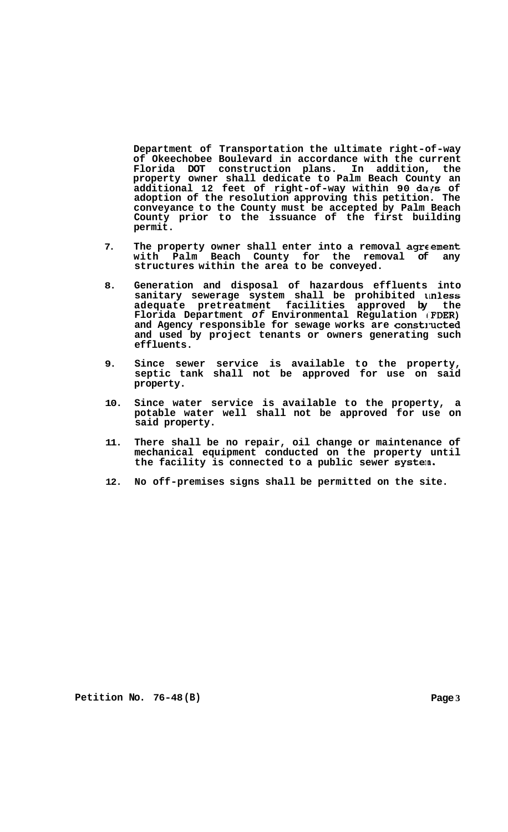**Department of Transportation the ultimate right-of-way of Okeechobee Boulevard in accordance with the current Florida DOT construction plans. In addition, the property owner shall dedicate to Palm Beach County an additional 12 feet of right-of-way within 90 daps of adoption of the resolution approving this petition. The conveyance to the County must be accepted by Palm Beach County prior to the issuance of the first building permit.** 

- 7. The property owner shall enter into a removal agreement **with Palm Beach County for the removal of any structures within the area to be conveyed.**
- **8. Generation and disposal of hazardous effluents into sanitary sewerage system shall be prohibited unless adequate pretreatment facilities approved by the Florida Department** *of* **Environmental Regulation IFDER)**  and Agency responsible for sewage works are constructed **and used by project tenants or owners generating such effluents.**
- **9. Since sewer service is available to the property, septic tank shall not be approved for use on said property.**
- **10. Since water service is available to the property, a potable water well shall not be approved for use on said property.**
- **11. There shall be no repair, oil change or maintenance of mechanical equipment conducted on the property until the facility is connected to a public sewer system.**
- **12. No off-premises signs shall be permitted on the site.**